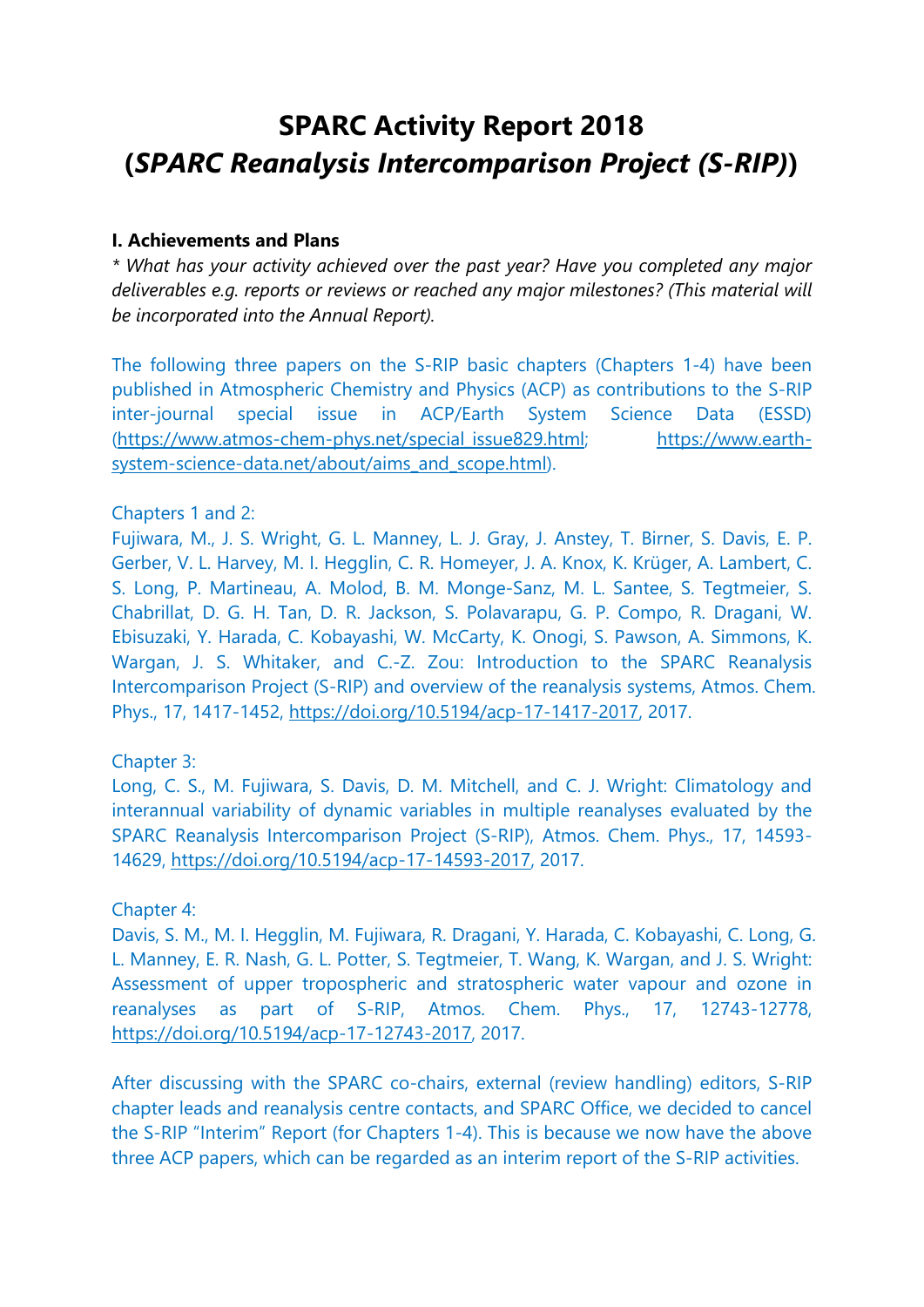# **SPARC Activity Report 2018 (***SPARC Reanalysis Intercomparison Project (S-RIP)***)**

## **I. Achievements and Plans**

*\* What has your activity achieved over the past year? Have you completed any major deliverables e.g. reports or reviews or reached any major milestones? (This material will be incorporated into the Annual Report).*

The following three papers on the S-RIP basic chapters (Chapters 1-4) have been published in Atmospheric Chemistry and Physics (ACP) as contributions to the S-RIP inter-journal special issue in ACP/Earth System Science Data (ESSD) [\(https://www.atmos-chem-phys.net/special\\_issue829.html;](https://www.atmos-chem-phys.net/special_issue829.html) [https://www.earth](https://www.earth-system-science-data.net/about/aims_and_scope.html)[system-science-data.net/about/aims\\_and\\_scope.html\)](https://www.earth-system-science-data.net/about/aims_and_scope.html).

## Chapters 1 and 2:

Fujiwara, M., J. S. Wright, G. L. Manney, L. J. Gray, J. Anstey, T. Birner, S. Davis, E. P. Gerber, V. L. Harvey, M. I. Hegglin, C. R. Homeyer, J. A. Knox, K. Krüger, A. Lambert, C. S. Long, P. Martineau, A. Molod, B. M. Monge-Sanz, M. L. Santee, S. Tegtmeier, S. Chabrillat, D. G. H. Tan, D. R. Jackson, S. Polavarapu, G. P. Compo, R. Dragani, W. Ebisuzaki, Y. Harada, C. Kobayashi, W. McCarty, K. Onogi, S. Pawson, A. Simmons, K. Wargan, J. S. Whitaker, and C.-Z. Zou: Introduction to the SPARC Reanalysis Intercomparison Project (S-RIP) and overview of the reanalysis systems, Atmos. Chem. Phys., 17, 1417-1452, [https://doi.org/10.5194/acp-17-1417-2017,](https://doi.org/10.5194/acp-17-1417-2017) 2017.

# Chapter 3:

Long, C. S., M. Fujiwara, S. Davis, D. M. Mitchell, and C. J. Wright: Climatology and interannual variability of dynamic variables in multiple reanalyses evaluated by the SPARC Reanalysis Intercomparison Project (S-RIP), Atmos. Chem. Phys., 17, 14593- 14629, [https://doi.org/10.5194/acp-17-14593-2017,](https://doi.org/10.5194/acp-17-14593-2017) 2017.

#### Chapter 4:

Davis, S. M., M. I. Hegglin, M. Fujiwara, R. Dragani, Y. Harada, C. Kobayashi, C. Long, G. L. Manney, E. R. Nash, G. L. Potter, S. Tegtmeier, T. Wang, K. Wargan, and J. S. Wright: Assessment of upper tropospheric and stratospheric water vapour and ozone in reanalyses as part of S-RIP, Atmos. Chem. Phys., 17, 12743-12778, [https://doi.org/10.5194/acp-17-12743-2017,](https://doi.org/10.5194/acp-17-12743-2017) 2017.

After discussing with the SPARC co-chairs, external (review handling) editors, S-RIP chapter leads and reanalysis centre contacts, and SPARC Office, we decided to cancel the S-RIP "Interim" Report (for Chapters 1-4). This is because we now have the above three ACP papers, which can be regarded as an interim report of the S-RIP activities.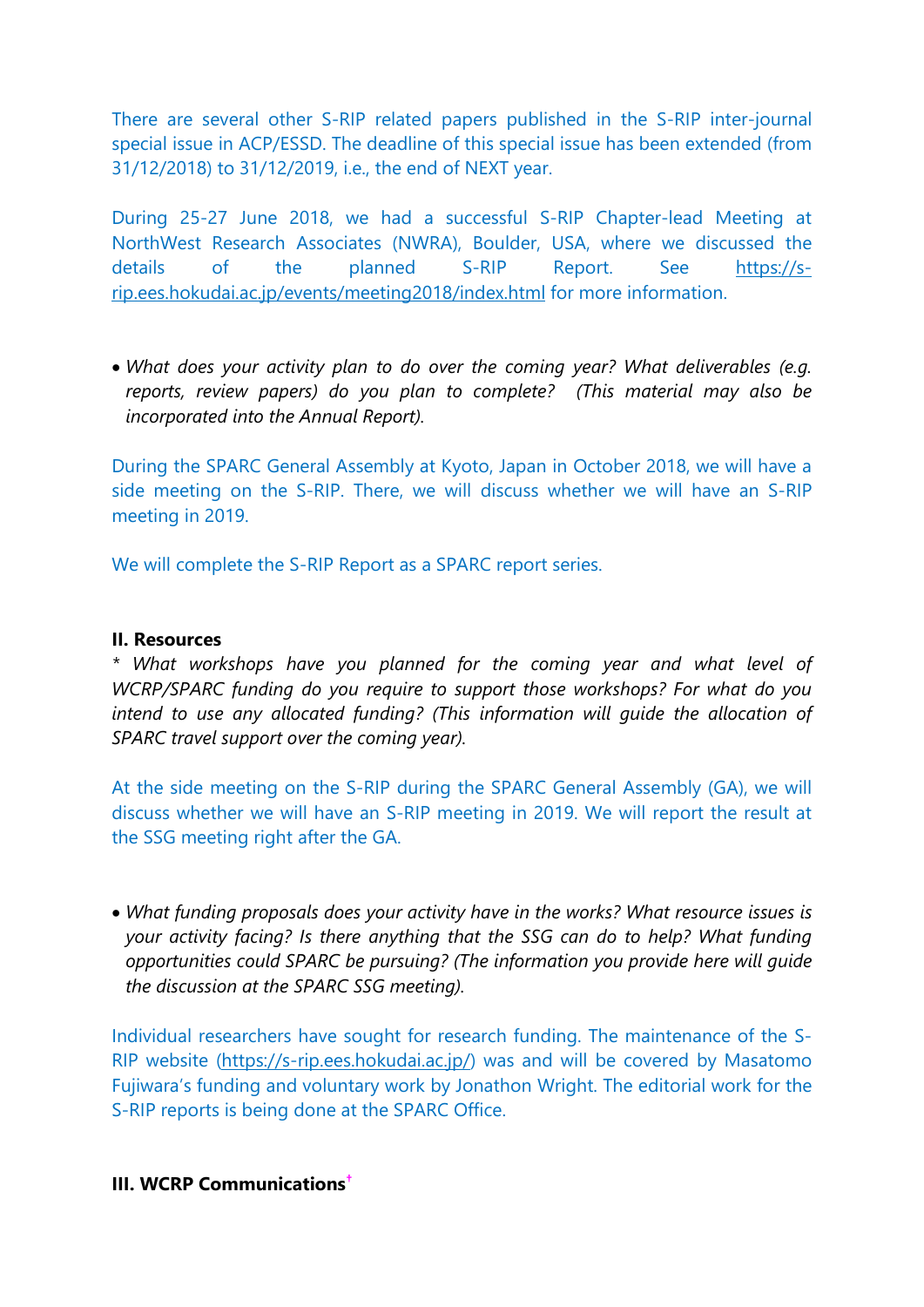There are several other S-RIP related papers published in the S-RIP inter-journal special issue in ACP/ESSD. The deadline of this special issue has been extended (from 31/12/2018) to 31/12/2019, i.e., the end of NEXT year.

During 25-27 June 2018, we had a successful S-RIP Chapter-lead Meeting at NorthWest Research Associates (NWRA), Boulder, USA, where we discussed the details of the planned S-RIP Report. See <u>https://s-</u> [rip.ees.hokudai.ac.jp/events/meeting2018/index.html](https://s-rip.ees.hokudai.ac.jp/events/meeting2018/index.html) for more information.

• *What does your activity plan to do over the coming year? What deliverables (e.g. reports, review papers) do you plan to complete? (This material may also be incorporated into the Annual Report).*

During the SPARC General Assembly at Kyoto, Japan in October 2018, we will have a side meeting on the S-RIP. There, we will discuss whether we will have an S-RIP meeting in 2019.

We will complete the S-RIP Report as a SPARC report series.

## **II. Resources**

*\* What workshops have you planned for the coming year and what level of WCRP/SPARC funding do you require to support those workshops? For what do you intend to use any allocated funding? (This information will guide the allocation of SPARC travel support over the coming year).*

At the side meeting on the S-RIP during the SPARC General Assembly (GA), we will discuss whether we will have an S-RIP meeting in 2019. We will report the result at the SSG meeting right after the GA.

• *What funding proposals does your activity have in the works? What resource issues is your activity facing? Is there anything that the SSG can do to help? What funding opportunities could SPARC be pursuing? (The information you provide here will guide the discussion at the SPARC SSG meeting).*

Individual researchers have sought for research funding. The maintenance of the S-RIP website [\(https://s-rip.ees.hokudai.ac.jp/\)](https://s-rip.ees.hokudai.ac.jp/) was and will be covered by Masatomo Fujiwara's funding and voluntary work by Jonathon Wright. The editorial work for the S-RIP reports is being done at the SPARC Office.

# **III. WCRP Communications[†](#page-4-0)**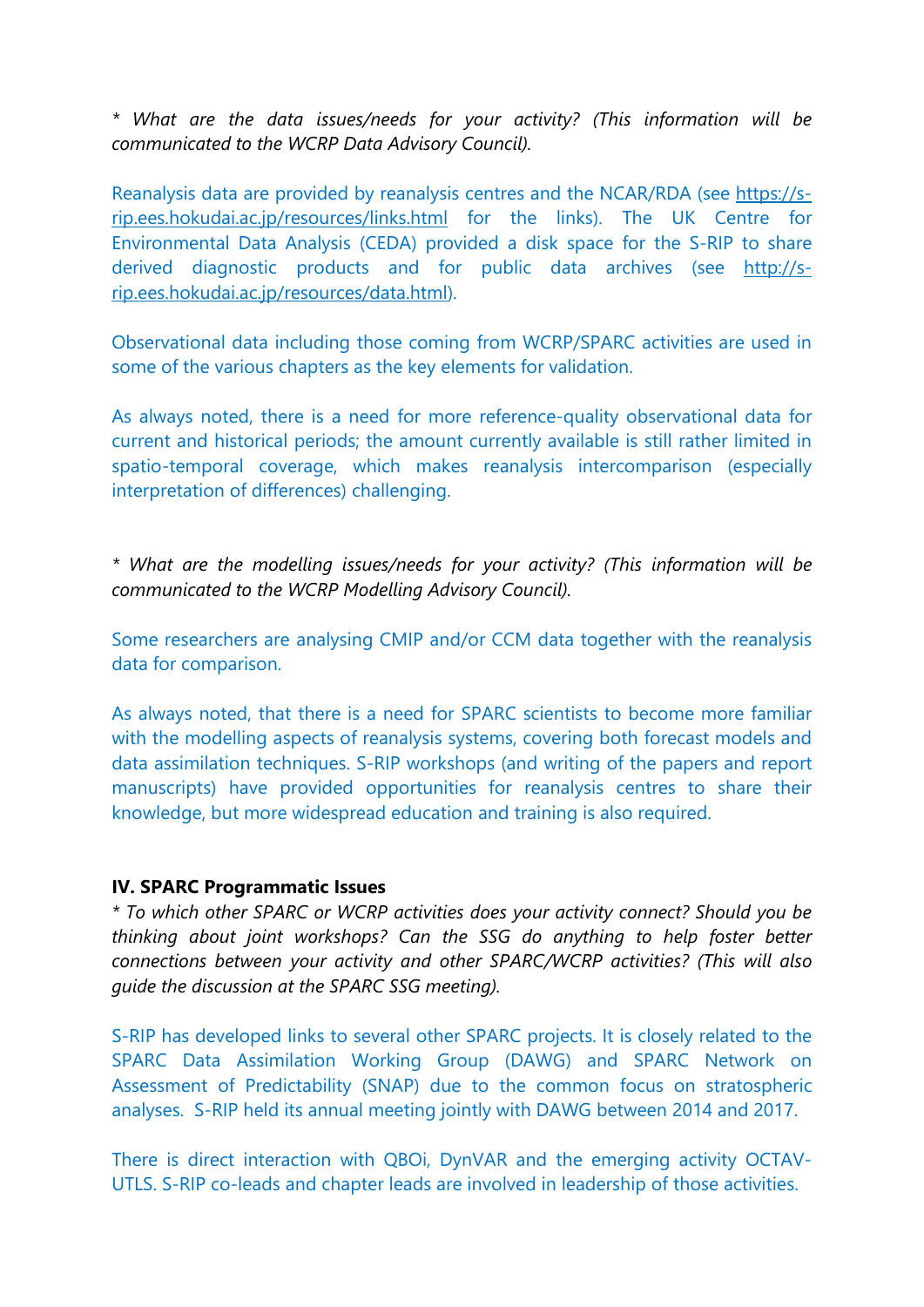*\* What are the data issues/needs for your activity? (This information will be communicated to the WCRP Data Advisory Council).*

Reanalysis data are provided by reanalysis centres and the NCAR/RDA (see [https://s](https://s-rip.ees.hokudai.ac.jp/resources/links.html)[rip.ees.hokudai.ac.jp/resources/links.html](https://s-rip.ees.hokudai.ac.jp/resources/links.html) for the links). The UK Centre for Environmental Data Analysis (CEDA) provided a disk space for the S-RIP to share derived diagnostic products and for public data archives (see [http://s](http://s-rip.ees.hokudai.ac.jp/resources/data.html)[rip.ees.hokudai.ac.jp/resources/data.html\)](http://s-rip.ees.hokudai.ac.jp/resources/data.html).

Observational data including those coming from WCRP/SPARC activities are used in some of the various chapters as the key elements for validation.

As always noted, there is a need for more reference-quality observational data for current and historical periods; the amount currently available is still rather limited in spatio-temporal coverage, which makes reanalysis intercomparison (especially interpretation of differences) challenging.

*\* What are the modelling issues/needs for your activity? (This information will be communicated to the WCRP Modelling Advisory Council).*

Some researchers are analysing CMIP and/or CCM data together with the reanalysis data for comparison.

As always noted, that there is a need for SPARC scientists to become more familiar with the modelling aspects of reanalysis systems, covering both forecast models and data assimilation techniques. S-RIP workshops (and writing of the papers and report manuscripts) have provided opportunities for reanalysis centres to share their knowledge, but more widespread education and training is also required.

#### **IV. SPARC Programmatic Issues**

*\* To which other SPARC or WCRP activities does your activity connect? Should you be thinking about joint workshops? Can the SSG do anything to help foster better connections between your activity and other SPARC/WCRP activities? (This will also guide the discussion at the SPARC SSG meeting).*

S-RIP has developed links to several other SPARC projects. It is closely related to the SPARC Data Assimilation Working Group (DAWG) and SPARC Network on Assessment of Predictability (SNAP) due to the common focus on stratospheric analyses. S-RIP held its annual meeting jointly with DAWG between 2014 and 2017.

There is direct interaction with QBOi, DynVAR and the emerging activity OCTAV-UTLS. S-RIP co-leads and chapter leads are involved in leadership of those activities.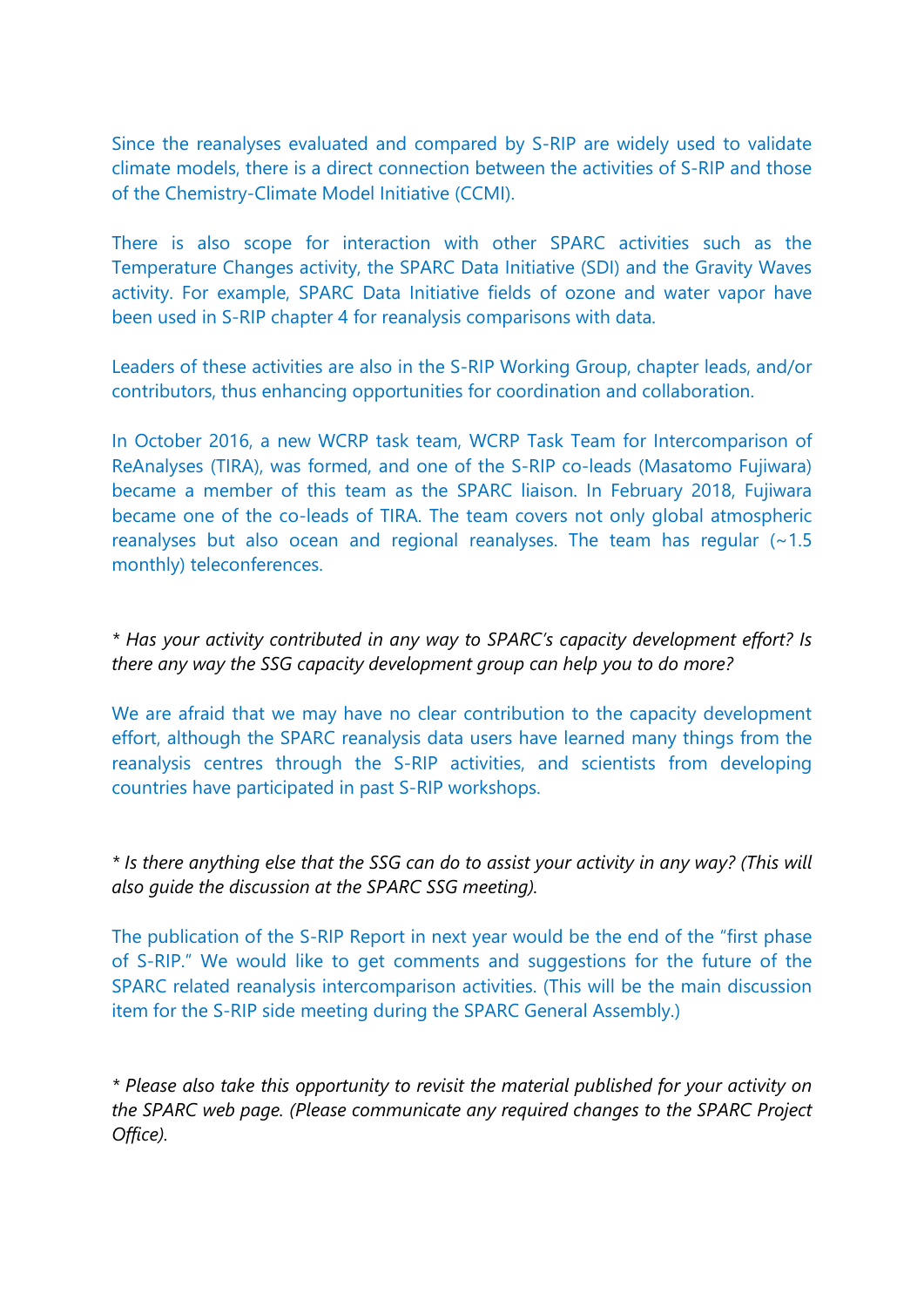Since the reanalyses evaluated and compared by S-RIP are widely used to validate climate models, there is a direct connection between the activities of S-RIP and those of the Chemistry-Climate Model Initiative (CCMI).

There is also scope for interaction with other SPARC activities such as the Temperature Changes activity, the SPARC Data Initiative (SDI) and the Gravity Waves activity. For example, SPARC Data Initiative fields of ozone and water vapor have been used in S-RIP chapter 4 for reanalysis comparisons with data.

Leaders of these activities are also in the S-RIP Working Group, chapter leads, and/or contributors, thus enhancing opportunities for coordination and collaboration.

In October 2016, a new WCRP task team, WCRP Task Team for Intercomparison of ReAnalyses (TIRA), was formed, and one of the S-RIP co-leads (Masatomo Fujiwara) became a member of this team as the SPARC liaison. In February 2018, Fujiwara became one of the co-leads of TIRA. The team covers not only global atmospheric reanalyses but also ocean and regional reanalyses. The team has regular (~1.5 monthly) teleconferences.

*\* Has your activity contributed in any way to SPARC's capacity development effort? Is there any way the SSG capacity development group can help you to do more?*

We are afraid that we may have no clear contribution to the capacity development effort, although the SPARC reanalysis data users have learned many things from the reanalysis centres through the S-RIP activities, and scientists from developing countries have participated in past S-RIP workshops.

*\* Is there anything else that the SSG can do to assist your activity in any way? (This will also guide the discussion at the SPARC SSG meeting).*

The publication of the S-RIP Report in next year would be the end of the "first phase of S-RIP." We would like to get comments and suggestions for the future of the SPARC related reanalysis intercomparison activities. (This will be the main discussion item for the S-RIP side meeting during the SPARC General Assembly.)

*\* Please also take this opportunity to revisit the material published for your activity on the SPARC web page. (Please communicate any required changes to the SPARC Project Office).*